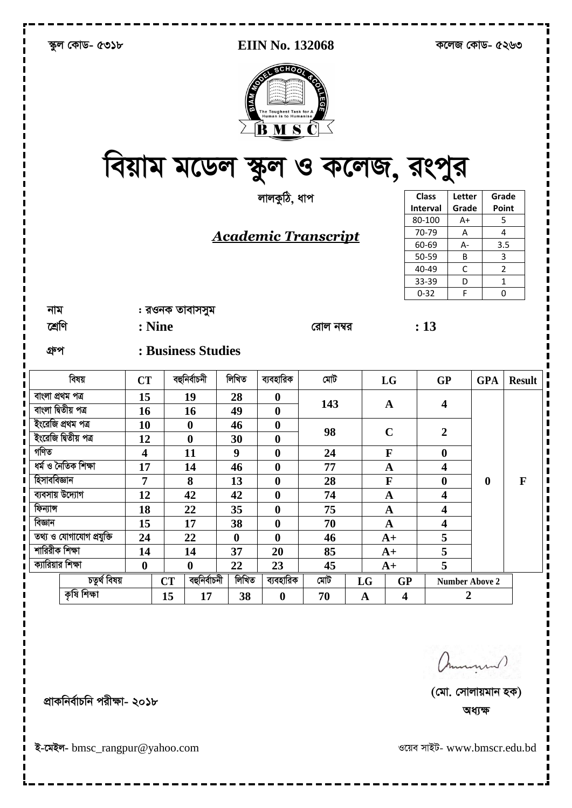| স্কুল কোড- ৫৩১৮          |              |                         | <b>EIIN No. 132068</b> |                    |                  | কলেজ কোড- ৫২৬৩                                            |                                                  |             |                         |                          |                       |                  |               |
|--------------------------|--------------|-------------------------|------------------------|--------------------|------------------|-----------------------------------------------------------|--------------------------------------------------|-------------|-------------------------|--------------------------|-----------------------|------------------|---------------|
|                          |              |                         |                        |                    | <b>MVIB</b>      | <b>COLLEGEON</b><br>The Toughest Task for A<br><b>BMS</b> | <b>ROALED</b><br>বিয়াম মডেল স্কুল ও কলেজ, রংপুর |             |                         |                          |                       |                  |               |
|                          |              |                         |                        |                    |                  | লালকুঠি, ধাপ                                              |                                                  |             |                         | <b>Class</b><br>Interval | Letter<br>Grade       | Grade<br>Point   |               |
|                          |              |                         |                        |                    |                  |                                                           |                                                  |             |                         | 80-100                   | A+                    | 5                |               |
|                          |              |                         |                        |                    |                  |                                                           |                                                  |             |                         | 70-79                    | Α                     | 4                |               |
|                          |              |                         |                        |                    |                  |                                                           | <b>Academic Transcript</b>                       |             |                         | 60-69                    | A-                    | 3.5              |               |
|                          |              |                         |                        |                    |                  |                                                           |                                                  |             |                         | 50-59                    | В                     | 3                |               |
|                          |              |                         |                        |                    |                  |                                                           |                                                  |             |                         | 40-49                    | C                     | 2                |               |
|                          |              |                         |                        |                    |                  |                                                           |                                                  |             |                         | 33-39                    | D                     | 1                |               |
|                          |              |                         |                        |                    |                  |                                                           |                                                  |             |                         | $0 - 32$                 | F                     | 0                |               |
| নাম                      |              |                         |                        | : রওনক তাবাসসুম    |                  |                                                           |                                                  |             |                         |                          |                       |                  |               |
|                          |              |                         |                        |                    |                  |                                                           |                                                  |             |                         |                          |                       |                  |               |
| শ্ৰেণি                   |              | : Nine                  |                        |                    |                  |                                                           | রোল নম্বর                                        |             |                         | : 13                     |                       |                  |               |
| গ্ৰুপ                    |              |                         |                        | : Business Studies |                  |                                                           |                                                  |             |                         |                          |                       |                  |               |
| বিষয়                    |              | <b>CT</b>               |                        | বহুনিৰ্বাচনী       | লিখিত            | ব্যবহারিক                                                 | মেট                                              |             | LG                      | <b>GP</b>                |                       | <b>GPA</b>       | <b>Result</b> |
| বাংলা প্ৰথম পত্ৰ         |              | 15                      |                        | 19                 | 28               | $\boldsymbol{0}$                                          |                                                  |             |                         |                          |                       |                  |               |
| বাংলা দ্বিতীয় পত্ৰ      |              | <b>16</b>               |                        | 16                 | 49               | $\boldsymbol{0}$                                          | 143                                              |             | $\mathbf{A}$            | $\overline{\mathbf{4}}$  |                       |                  |               |
| ইংরেজি প্রথম পত্র        |              | 10                      |                        | $\boldsymbol{0}$   | 46               | $\boldsymbol{0}$                                          |                                                  |             |                         |                          |                       |                  |               |
| ইংরেজি দ্বিতীয় পত্র     |              | 12                      |                        | $\boldsymbol{0}$   | 30               | 0                                                         | 98                                               |             | $\mathbf C$             | $\boldsymbol{2}$         |                       |                  |               |
| গণিত                     |              | $\overline{\mathbf{4}}$ |                        | 11                 | 9                | $\boldsymbol{0}$                                          | 24                                               |             | $\mathbf F$             | $\boldsymbol{0}$         |                       |                  |               |
| ধৰ্ম ও নৈতিক শিক্ষা      |              | 17                      |                        | 14                 | 46               | $\bf{0}$                                                  | 77                                               |             | A                       | 4                        |                       |                  |               |
| হিসাববিজ্ঞান             |              | $\overline{7}$          |                        | 8                  | 13               | $\bf{0}$                                                  | 28                                               |             | $\mathbf{F}$            | $\bf{0}$                 |                       | $\boldsymbol{0}$ | $\mathbf{F}$  |
| ব্যবসায় উদ্যোগ          |              | 12                      |                        | 42                 | 42               | $\boldsymbol{0}$                                          | 74                                               |             | $\mathbf A$             | $\overline{\mathbf{4}}$  |                       |                  |               |
| ফিন্যান্স                |              | 18                      |                        | 22                 | 35               | $\boldsymbol{0}$                                          | 75                                               |             | $\mathbf A$             | $\overline{\mathbf{4}}$  |                       |                  |               |
| বিজ্ঞান                  |              | 15                      |                        | 17                 | 38               | $\boldsymbol{0}$                                          | 70                                               |             | $\mathbf A$             | $\overline{\mathbf{4}}$  |                       |                  |               |
| তথ্য ও যোগাযোগ প্রযুক্তি |              | 24                      |                        | 22                 | $\boldsymbol{0}$ | $\bf{0}$                                                  | 46                                               |             | $A+$                    | 5                        |                       |                  |               |
| শারিরীক শিক্ষা           |              | 14                      |                        | 14                 | 37               | 20                                                        | 85                                               |             | $A+$                    | 5                        |                       |                  |               |
| ক্যারিয়ার শিক্ষা        |              | $\boldsymbol{0}$        |                        | $\boldsymbol{0}$   | 22               | 23                                                        | 45                                               |             | $A+$                    | 5                        |                       |                  |               |
|                          | চতুৰ্থ বিষয় |                         | <b>CT</b>              | বহুনিৰ্বাচনী       | লিখিত            | ব্যবহারিক                                                 | মেট                                              | LG          | GP                      |                          | <b>Number Above 2</b> |                  |               |
| কৃষি শিক্ষা              |              |                         | 15                     | 17                 | 38               | $\boldsymbol{0}$                                          | 70                                               | $\mathbf A$ | $\overline{\mathbf{4}}$ |                          | $\overline{2}$        |                  |               |
|                          |              |                         |                        |                    |                  |                                                           |                                                  |             |                         |                          |                       |                  |               |

ammund)

ওয়েব সাইট- www.bmscr.edu.bd

প্রাকনির্বাচনি পরীক্ষা- ২০১৮

इ-त्मरन- bmsc\_rangpur@yahoo.com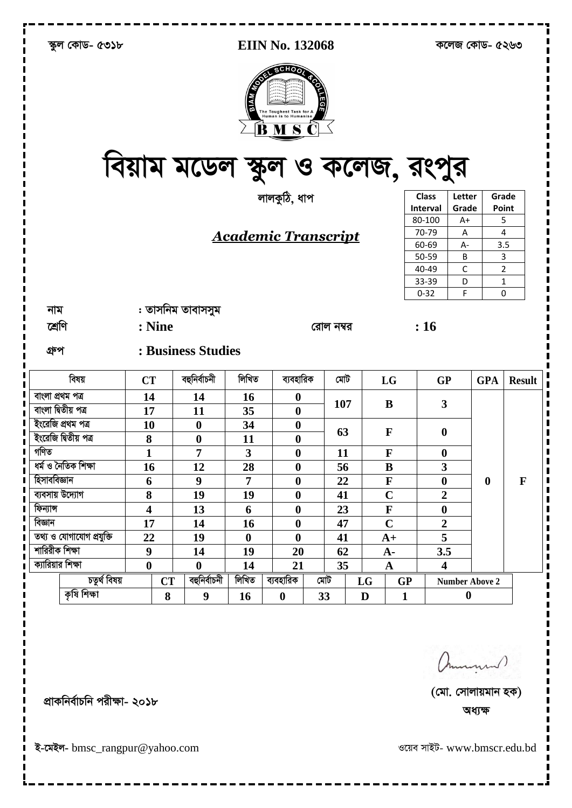|                      | স্কুল কোড- ৫৩১৮          |                         |                                 |                | <b>EIIN No. 132068</b>                                       |      |           | কলেজ কোড- ৫২৬৩ |                |                                 |                       |                  |                |
|----------------------|--------------------------|-------------------------|---------------------------------|----------------|--------------------------------------------------------------|------|-----------|----------------|----------------|---------------------------------|-----------------------|------------------|----------------|
|                      |                          |                         | বিয়াম মডেল স্কুল ও কলেজ, রংপুর | <b>MAIB</b>    | <b>CONFERENCE</b><br>The Toughest Task for<br><b>MS</b><br>B | LEGE |           |                |                |                                 |                       |                  |                |
|                      |                          |                         |                                 |                | লালকুঠি, ধাপ                                                 |      |           |                |                | <b>Class</b><br><b>Interval</b> | Letter<br>Grade       | Grade<br>Point   |                |
|                      |                          |                         |                                 |                |                                                              |      |           |                |                | 80-100                          | $A+$                  |                  | 5              |
|                      |                          |                         |                                 |                |                                                              |      |           |                |                | 70-79                           | Α                     |                  | 4              |
|                      |                          |                         |                                 |                | <b>Academic Transcript</b>                                   |      |           |                |                | 60-69                           | A-                    | 3.5              |                |
|                      |                          |                         |                                 |                |                                                              |      |           |                |                | 50-59                           | B                     |                  | 3              |
|                      |                          |                         |                                 |                |                                                              |      |           |                |                | 40-49                           | C                     |                  | $\overline{2}$ |
|                      |                          |                         |                                 |                |                                                              |      |           |                |                | 33-39                           | D                     |                  | 1              |
|                      |                          |                         |                                 |                |                                                              |      |           |                |                | $0 - 32$                        | F                     |                  | 0              |
| নাম                  |                          |                         | : তাসনিম তাবাসসুম               |                |                                                              |      |           |                |                |                                 |                       |                  |                |
| শ্ৰেণি               |                          | : Nine                  |                                 |                |                                                              |      | রোল নম্বর |                |                | : 16                            |                       |                  |                |
| গ্ৰুপ                |                          |                         | : Business Studies              |                |                                                              |      |           |                |                |                                 |                       |                  |                |
|                      | বিষয়                    | <b>CT</b>               | বহুনিৰ্বাচনী                    | লিখিত          | ব্যবহারিক                                                    |      | মেট       |                | LG             | <b>GP</b>                       |                       | <b>GPA</b>       | <b>Result</b>  |
| বাংলা প্ৰথম পত্ৰ     |                          | 14                      | 14                              | 16             | $\boldsymbol{0}$                                             |      | 107       |                | B              | 3                               |                       |                  |                |
| বাংলা দ্বিতীয় পত্ৰ  |                          | 17                      | 11                              | 35             | $\boldsymbol{0}$                                             |      |           |                |                |                                 |                       |                  |                |
| ইংরেজি প্রথম পত্র    |                          | 10                      | $\boldsymbol{0}$                | 34             | $\boldsymbol{0}$                                             |      | 63        |                | $\mathbf{F}$   | $\boldsymbol{0}$                |                       |                  |                |
| ইংরেজি দ্বিতীয় পত্র |                          | 8                       | $\boldsymbol{0}$                | 11             | $\boldsymbol{0}$                                             |      |           |                |                |                                 |                       |                  |                |
| গণিত                 |                          | 1                       | $\overline{7}$                  | 3              | $\boldsymbol{0}$                                             |      | 11        |                | $\mathbf{F}$   | $\boldsymbol{0}$                |                       |                  |                |
| ধৰ্ম ও নৈতিক শিক্ষা  |                          | 16                      | 12                              | 28             | $\boldsymbol{0}$                                             |      | 56        |                | B              | 3                               |                       |                  |                |
| হিসাববিজ্ঞান         |                          | 6                       | $\boldsymbol{9}$                | $\overline{7}$ | $\boldsymbol{0}$                                             |      | 22        |                | $\mathbf F$    | $\boldsymbol{0}$                |                       | $\boldsymbol{0}$ | $\mathbf{F}$   |
| ব্যবসায় উদ্যোগ      |                          | 8                       | 19                              | 19             | $\boldsymbol{0}$                                             |      | 41        |                | $\mathbf C$    | $\overline{2}$                  |                       |                  |                |
| ফিন্যান্স            |                          | $\overline{\mathbf{4}}$ | 13                              | 6              | $\boldsymbol{0}$                                             |      | 23        |                | $\mathbf F$    | $\boldsymbol{0}$                |                       |                  |                |
| বিজ্ঞান              |                          | 17                      | 14                              | 16             | $\boldsymbol{0}$                                             |      | 47        |                | $\overline{C}$ | $\overline{2}$                  |                       |                  |                |
|                      | তথ্য ও যোগাযোগ প্রযুক্তি | 22                      | 19                              | $\bf{0}$       | $\boldsymbol{0}$                                             |      | 41        |                | $A+$           | 5                               |                       |                  |                |
| শারিরীক শিক্ষা       |                          | $\boldsymbol{9}$        | 14                              | 19             | 20                                                           |      | 62        |                | $A -$          | 3.5                             |                       |                  |                |
| ক্যারিয়ার শিক্ষা    |                          | $\boldsymbol{0}$        | $\boldsymbol{0}$                | 14             | 21                                                           |      | 35        |                | $\mathbf A$    | $\overline{\mathbf{4}}$         |                       |                  |                |
|                      | চতুৰ্থ বিষয়             | <b>CT</b>               | বহুনিৰ্বাচনী                    | লিখিত          | ব্যবহারিক                                                    | মেট  |           | LG             | GP             |                                 | <b>Number Above 2</b> |                  |                |
|                      | কৃষি শিক্ষা              | 8                       | $\boldsymbol{9}$                | 16             | $\boldsymbol{0}$                                             | 33   |           | $\mathbf D$    | $\mathbf{1}$   |                                 | $\boldsymbol{0}$      |                  |                |
|                      |                          |                         |                                 |                |                                                              |      |           |                |                |                                 |                       |                  |                |

ammund)

ওয়েব সাইট- www.bmscr.edu.bd

প্রাকনির্বাচনি পরীক্ষা- ২০১৮

इ-त्मरन- bmsc\_rangpur@yahoo.com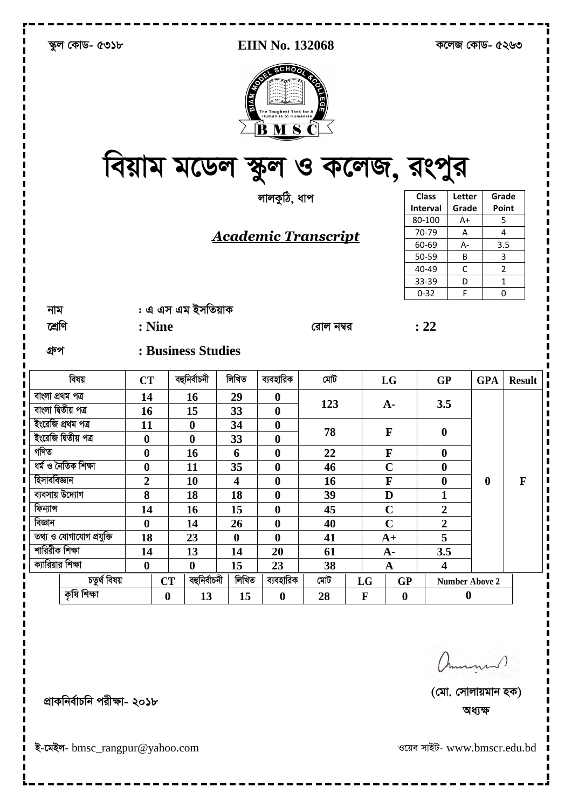|                     | স্কুল কোড- ৫৩১৮          |                  |                                 |                         | <b>EIIN No. 132068</b>                                                                                             |                             | কলেজ কোড- ৫২৬৩ |                  |                         |                       |                  |                |
|---------------------|--------------------------|------------------|---------------------------------|-------------------------|--------------------------------------------------------------------------------------------------------------------|-----------------------------|----------------|------------------|-------------------------|-----------------------|------------------|----------------|
|                     |                          |                  | বিয়াম মডেল স্কুল ও কলেজ, রংপুর | <b>MVIB</b>             | <b>CONFERENCE</b><br><b>Toughest Task for</b><br><b>Human</b> is to Humanise<br>$\overline{M}$ $\overline{S}$<br>B | i<br>Soe                    |                |                  |                         |                       |                  |                |
|                     |                          |                  |                                 |                         | লালকুঠি, ধাপ                                                                                                       |                             |                |                  | <b>Class</b>            | Letter                | Grade            |                |
|                     |                          |                  |                                 |                         |                                                                                                                    |                             |                |                  | <b>Interval</b>         | Grade                 | Point            |                |
|                     |                          |                  |                                 |                         |                                                                                                                    |                             |                |                  | 80-100                  | $A+$                  |                  | 5<br>4         |
|                     |                          |                  |                                 |                         |                                                                                                                    | <u> Academic Transcript</u> |                |                  | 70-79<br>60-69          | Α<br>A-               |                  | 3.5            |
|                     |                          |                  |                                 |                         |                                                                                                                    |                             |                |                  | 50-59                   | B                     |                  | 3              |
|                     |                          |                  |                                 |                         |                                                                                                                    |                             |                |                  | 40-49                   | $\mathsf C$           |                  | $\overline{2}$ |
|                     |                          |                  |                                 |                         |                                                                                                                    |                             |                |                  | 33-39                   | D                     |                  | 1              |
|                     |                          |                  |                                 |                         |                                                                                                                    |                             |                |                  | $0 - 32$                | F                     |                  | 0              |
| নাম                 |                          |                  | : এ এস এম ইসতিয়াক              |                         |                                                                                                                    |                             |                |                  |                         |                       |                  |                |
| শ্ৰেণি              |                          | : Nine           |                                 |                         |                                                                                                                    | রোল নম্বর                   |                |                  | : 22                    |                       |                  |                |
|                     |                          |                  |                                 |                         |                                                                                                                    |                             |                |                  |                         |                       |                  |                |
| গ্ৰুপ               |                          |                  | : Business Studies              |                         |                                                                                                                    |                             |                |                  |                         |                       |                  |                |
|                     | বিষয়                    | <b>CT</b>        | বহুনিৰ্বাচনী                    | লিখিত                   | ব্যবহারিক                                                                                                          | মেট                         |                | LG               | <b>GP</b>               |                       | <b>GPA</b>       | <b>Result</b>  |
| বাংলা প্ৰথম পত্ৰ    |                          | 14               | 16                              | 29                      | $\boldsymbol{0}$                                                                                                   |                             |                |                  |                         |                       |                  |                |
| বাংলা দ্বিতীয় পত্ৰ |                          | 16               | 15                              | 33                      | $\boldsymbol{0}$                                                                                                   | 123                         |                | $A-$             | 3.5                     |                       |                  |                |
|                     | ইংরেজি প্রথম পত্র        | 11               | $\boldsymbol{0}$                | 34                      | $\boldsymbol{0}$                                                                                                   |                             |                |                  |                         |                       |                  |                |
|                     | ইংরেজি দ্বিতীয় পত্র     | $\boldsymbol{0}$ | $\boldsymbol{0}$                | 33                      | $\boldsymbol{0}$                                                                                                   | 78                          |                | $\mathbf{F}$     | $\boldsymbol{0}$        |                       |                  |                |
| গণিত                |                          | $\boldsymbol{0}$ | 16                              | 6                       | $\boldsymbol{0}$                                                                                                   | 22                          |                | $\mathbf F$      | $\boldsymbol{0}$        |                       |                  |                |
|                     | ধৰ্ম ও নৈতিক শিক্ষা      | $\boldsymbol{0}$ | 11                              | 35                      | $\boldsymbol{0}$                                                                                                   | 46                          |                | $\mathbf C$      | $\boldsymbol{0}$        |                       |                  |                |
| হিসাববিজ্ঞান        |                          | $\overline{2}$   | 10                              | $\overline{\mathbf{4}}$ | $\boldsymbol{0}$                                                                                                   | 16                          |                | F                | $\boldsymbol{0}$        |                       | $\boldsymbol{0}$ | $\mathbf{F}$   |
| ব্যবসায় উদ্যোগ     |                          | 8                | 18                              | 18                      | $\boldsymbol{0}$                                                                                                   | 39                          |                | $\mathbf D$      | $\mathbf{1}$            |                       |                  |                |
| ফিন্যান্স           |                          | 14               | 16                              | 15                      | $\boldsymbol{0}$                                                                                                   | 45                          |                | $\mathbf C$      | $\boldsymbol{2}$        |                       |                  |                |
| বিজ্ঞান             |                          | $\boldsymbol{0}$ | 14                              | 26                      | $\boldsymbol{0}$                                                                                                   | 40                          |                | $\overline{C}$   | $\overline{2}$          |                       |                  |                |
|                     | তথ্য ও যোগাযোগ প্রযুক্তি | 18               | 23                              | $\boldsymbol{0}$        | $\boldsymbol{0}$                                                                                                   | 41                          |                | $A+$             | 5                       |                       |                  |                |
| শারিরীক শিক্ষা      |                          | 14               | 13                              | 14                      | 20                                                                                                                 | 61                          |                | $A-$             | 3.5                     |                       |                  |                |
| ক্যারিয়ার শিক্ষা   |                          | $\boldsymbol{0}$ | $\boldsymbol{0}$                | 15                      | 23                                                                                                                 | 38                          |                | $\mathbf A$      | $\overline{\mathbf{4}}$ |                       |                  |                |
|                     | চতুৰ্থ বিষয়             |                  | বহুনিৰ্বাচনী<br><b>CT</b>       | লিখিত                   | ব্যবহারিক                                                                                                          | মেট                         | LG             | GP               |                         | <b>Number Above 2</b> |                  |                |
|                     | কৃষি শিক্ষা              |                  | $\boldsymbol{0}$<br>13          | 15                      | $\boldsymbol{0}$                                                                                                   | 28                          | $\mathbf F$    | $\boldsymbol{0}$ |                         | $\boldsymbol{0}$      |                  |                |
|                     |                          |                  |                                 |                         |                                                                                                                    |                             |                |                  |                         |                       |                  |                |

ammund)

ওয়েব সাইট- www.bmscr.edu.bd

প্রাকনির্বাচনি পরীক্ষা- ২০১৮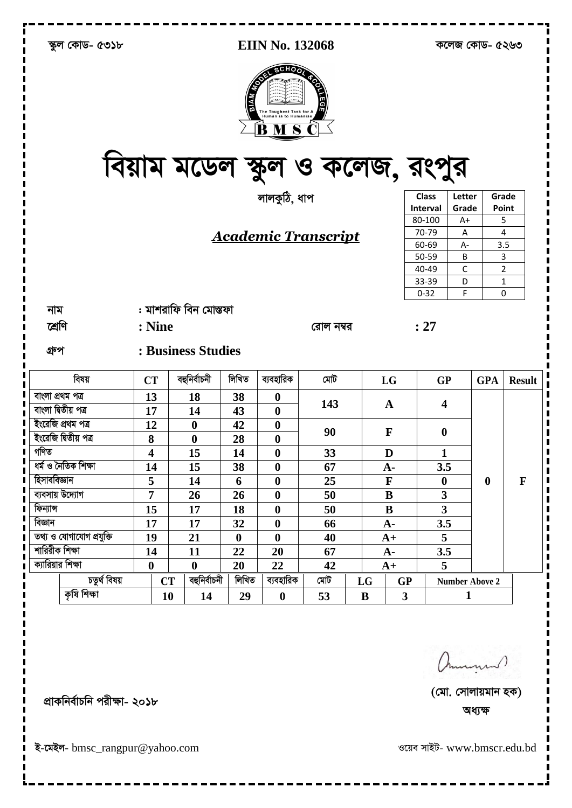|                      | স্কুল কোড- ৫৩১৮          |                  |                                 |                  | <b>EIIN No. 132068</b> |                            | কলেজ কোড- ৫২৬৩ |                         |                         |                       |                  |               |
|----------------------|--------------------------|------------------|---------------------------------|------------------|------------------------|----------------------------|----------------|-------------------------|-------------------------|-----------------------|------------------|---------------|
|                      |                          |                  | বিয়াম মডেল স্কুল ও কলেজ, রংপুর | <b>EST</b>       | <b>SCHOOT</b><br>B     | <b>LEGE</b>                |                |                         |                         |                       |                  |               |
|                      |                          |                  |                                 |                  | লালকুঠি, ধাপ           |                            |                |                         | <b>Class</b>            | Letter                | Grade            |               |
|                      |                          |                  |                                 |                  |                        |                            |                |                         | Interval                | Grade                 | Point            |               |
|                      |                          |                  |                                 |                  |                        |                            |                |                         | 80-100                  | A+                    | 5                |               |
|                      |                          |                  |                                 |                  |                        | <u>Academic Transcript</u> |                |                         | 70-79                   | $\overline{A}$        |                  | 4             |
|                      |                          |                  |                                 |                  |                        |                            |                |                         | 60-69                   | $A -$                 | 3.5              |               |
|                      |                          |                  |                                 |                  |                        |                            |                |                         | 50-59<br>40-49          | B<br>C                |                  | 3             |
|                      |                          |                  |                                 |                  |                        |                            |                |                         | 33-39                   | D                     | 2<br>1           |               |
|                      |                          |                  |                                 |                  |                        |                            |                |                         | $0 - 32$                | F                     | 0                |               |
| নাম                  |                          |                  | : মাশরাফি বিন মোস্তফা           |                  |                        |                            |                |                         |                         |                       |                  |               |
|                      |                          |                  |                                 |                  |                        |                            |                |                         |                         |                       |                  |               |
| শ্ৰেণি               |                          | : Nine           |                                 |                  |                        | রোল নম্বর                  |                |                         | : 27                    |                       |                  |               |
| গ্ৰুপ                |                          |                  | : Business Studies              |                  |                        |                            |                |                         |                         |                       |                  |               |
|                      | বিষয়                    | <b>CT</b>        | বহুনিৰ্বাচনী                    | লিখিত            | ব্যবহারিক              | মোট                        |                | LG                      | <b>GP</b>               |                       | <b>GPA</b>       | <b>Result</b> |
| বাংলা প্ৰথম পত্ৰ     |                          | 13               | 18                              | 38               | $\boldsymbol{0}$       | 143                        |                | A                       | 4                       |                       |                  |               |
| বাংলা দ্বিতীয় পত্ৰ  |                          | 17               | 14                              | 43               | $\boldsymbol{0}$       |                            |                |                         |                         |                       |                  |               |
| ইংরেজি প্রথম পত্র    |                          | 12               | $\boldsymbol{0}$                | 42               | $\boldsymbol{0}$       | 90                         |                | $\mathbf{F}$            |                         |                       |                  |               |
| ইংরেজি দ্বিতীয় পত্র |                          | 8                | $\boldsymbol{0}$                | 28               | $\boldsymbol{0}$       |                            |                |                         | $\boldsymbol{0}$        |                       |                  |               |
| গণিত                 |                          | 4                | 15                              | 14               | $\boldsymbol{0}$       | 33                         |                | D                       | 1                       |                       |                  |               |
| ধৰ্ম ও নৈতিক শিক্ষা  |                          | 14               | 15                              | 38               | $\boldsymbol{0}$       | 67                         |                | ${\bf A}$ -             | 3.5                     |                       |                  |               |
| হিসাববিজ্ঞান         |                          | 5                | 14                              | 6                | $\boldsymbol{0}$       | 25                         |                | $\mathbf F$             | $\boldsymbol{0}$        |                       | $\boldsymbol{0}$ | $\mathbf F$   |
| ব্যবসায় উদ্যোগ      |                          | $\overline{7}$   | 26                              | 26               | $\bf{0}$               | 50                         |                | ${\bf B}$               | $\mathbf{3}$            |                       |                  |               |
| ফিন্যান্স            |                          | 15               | 17                              | 18               | $\boldsymbol{0}$       | 50                         |                | ${\bf B}$               | $\overline{\mathbf{3}}$ |                       |                  |               |
| বিজ্ঞান              |                          | 17               | 17                              | 32               | $\boldsymbol{0}$       | 66                         |                | $A -$                   | 3.5                     |                       |                  |               |
|                      | তথ্য ও যোগাযোগ প্রযুক্তি | 19               | 21                              | $\boldsymbol{0}$ | $\bf{0}$               | 40                         |                | $A+$                    | 5                       |                       |                  |               |
| শারিরীক শিক্ষা       |                          | 14               | 11                              | 22               | 20                     | 67                         |                | $A -$                   | 3.5                     |                       |                  |               |
| ক্যারিয়ার শিক্ষা    |                          | $\boldsymbol{0}$ | $\bf{0}$                        | 20               | 22                     | 42                         |                | $A+$                    | 5                       |                       |                  |               |
|                      | চতুৰ্থ বিষয়             |                  | বহুনিৰ্বাচনী<br><b>CT</b>       | লিখিত            | ব্যবহারিক              | মেট                        | LG             | <b>GP</b>               |                         | <b>Number Above 2</b> |                  |               |
|                      | কৃষি শিক্ষা              |                  | 10<br>14                        | 29               | $\boldsymbol{0}$       | 53                         | $\bf{B}$       | $\overline{\mathbf{3}}$ |                         | $\mathbf{1}$          |                  |               |
|                      |                          |                  |                                 |                  |                        |                            |                |                         |                         |                       |                  |               |

ammund)

ওয়েব সাইট- www.bmscr.edu.bd

প্ৰাকনিৰ্বাচনি পরীক্ষা- ২০১৮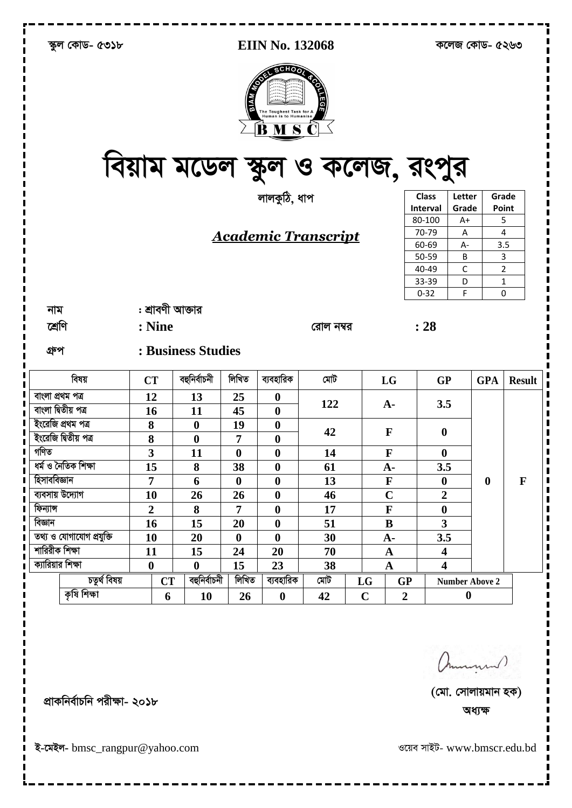| স্কুল কোড- ৫৩১৮          |                         |                  |                    |                  | <b>EIIN No. 132068</b>                                                                              |                                        | কলেজ কোড- ৫২৬৩ |                  |                         |                       |                  |               |
|--------------------------|-------------------------|------------------|--------------------|------------------|-----------------------------------------------------------------------------------------------------|----------------------------------------|----------------|------------------|-------------------------|-----------------------|------------------|---------------|
|                          |                         |                  |                    |                  | <b>SCHOOT</b><br><b>REA</b><br>The Toughest Task for A<br><b>Human is to Humanise</b><br><b>BMS</b> | 195<br>বিয়াম মডেল স্কুল ও কলেজ, রংপুর |                |                  |                         |                       |                  |               |
|                          |                         |                  |                    |                  | লালকুঠি, ধাপ                                                                                        |                                        |                |                  | <b>Class</b>            | Letter                |                  | Grade         |
|                          |                         |                  |                    |                  |                                                                                                     |                                        |                |                  | <b>Interval</b>         | Grade                 |                  | Point         |
|                          |                         |                  |                    |                  |                                                                                                     |                                        |                |                  | 80-100                  | A+                    |                  | 5             |
|                          |                         |                  |                    |                  |                                                                                                     | <b>Academic Transcript</b>             |                |                  | 70-79                   | A                     |                  | 4             |
|                          |                         |                  |                    |                  |                                                                                                     |                                        |                |                  | 60-69                   | $A -$                 |                  | 3.5           |
|                          |                         |                  |                    |                  |                                                                                                     |                                        |                |                  | 50-59                   | B                     |                  | 3             |
|                          |                         |                  |                    |                  |                                                                                                     |                                        |                |                  | 40-49<br>33-39          | С<br>D                |                  | 2<br>1        |
|                          |                         |                  |                    |                  |                                                                                                     |                                        |                |                  | $0 - 32$                | F                     |                  | 0             |
| নাম                      |                         | : শ্রাবণী আক্তার |                    |                  |                                                                                                     |                                        |                |                  |                         |                       |                  |               |
|                          |                         |                  |                    |                  |                                                                                                     |                                        |                |                  |                         |                       |                  |               |
| শ্ৰেণি                   |                         | : Nine           |                    |                  |                                                                                                     | রোল নম্বর                              |                |                  | : 28                    |                       |                  |               |
| গ্ৰুপ                    |                         |                  | : Business Studies |                  |                                                                                                     |                                        |                |                  |                         |                       |                  |               |
| বিষয়                    | <b>CT</b>               |                  | বহুনিৰ্বাচনী       | লিখিত            | ব্যবহারিক                                                                                           | মেট                                    |                | LG               | <b>GP</b>               |                       | <b>GPA</b>       | <b>Result</b> |
| বাংলা প্ৰথম পত্ৰ         | 12                      |                  | 13                 | 25               | $\boldsymbol{0}$                                                                                    | 122                                    |                |                  | 3.5                     |                       |                  |               |
| বাংলা দ্বিতীয় পত্ৰ      | 16                      |                  | 11                 | 45               | $\boldsymbol{0}$                                                                                    |                                        |                | $A -$            |                         |                       |                  |               |
| ইংরেজি প্রথম পত্র        | 8                       |                  | $\boldsymbol{0}$   | 19               | $\boldsymbol{0}$                                                                                    |                                        |                |                  |                         |                       |                  |               |
| ইংরেজি দ্বিতীয় পত্র     | 8                       |                  | $\boldsymbol{0}$   | 7                | $\boldsymbol{0}$                                                                                    | 42                                     |                | $\mathbf{F}$     | $\boldsymbol{0}$        |                       |                  |               |
| গণিত                     | $\overline{\mathbf{3}}$ |                  | 11                 | $\boldsymbol{0}$ | $\boldsymbol{0}$                                                                                    | 14                                     |                | $\mathbf F$      | $\boldsymbol{0}$        |                       |                  |               |
| ধৰ্ম ও নৈতিক শিক্ষা      | 15                      |                  | 8                  | 38               | $\boldsymbol{0}$                                                                                    | 61                                     |                | ${\bf A}$ -      | 3.5                     |                       |                  |               |
| হিসাববিজ্ঞান             | $\overline{7}$          |                  | 6                  | $\boldsymbol{0}$ | $\boldsymbol{0}$                                                                                    | 13                                     |                | $\mathbf F$      | $\boldsymbol{0}$        |                       | $\boldsymbol{0}$ | $\mathbf{F}$  |
| ব্যবসায় উদ্যোগ          | 10                      |                  | 26                 | 26               | $\boldsymbol{0}$                                                                                    | 46                                     |                | $\mathbf C$      | $\overline{2}$          |                       |                  |               |
| ফিন্যান্স                | $\boldsymbol{2}$        |                  | 8                  | $\overline{7}$   | $\boldsymbol{0}$                                                                                    | 17                                     |                | $\mathbf F$      | $\boldsymbol{0}$        |                       |                  |               |
| বিজ্ঞান                  | 16                      |                  | 15                 | 20               | $\boldsymbol{0}$                                                                                    | 51                                     |                | $\bf{B}$         | $\mathbf{3}$            |                       |                  |               |
| তথ্য ও যোগাযোগ প্রযুক্তি | 10                      |                  | 20                 | $\boldsymbol{0}$ | $\boldsymbol{0}$                                                                                    | 30                                     |                | $A -$            | 3.5                     |                       |                  |               |
| শারিরীক শিক্ষা           | 11                      |                  | 15                 | 24               | 20                                                                                                  | 70                                     |                | $\mathbf A$      | $\boldsymbol{4}$        |                       |                  |               |
| ক্যারিয়ার শিক্ষা        | $\boldsymbol{0}$        |                  | $\boldsymbol{0}$   | 15               | 23                                                                                                  | 38                                     |                | $\mathbf A$      | $\overline{\mathbf{4}}$ |                       |                  |               |
| চতুৰ্থ বিষয়             |                         | <b>CT</b>        | বহুনিৰ্বাচনী       | লিখিত            | ব্যবহারিক                                                                                           | মেট                                    | LG             | <b>GP</b>        |                         | <b>Number Above 2</b> |                  |               |
| কৃষি শিক্ষা              |                         | 6                | 10                 | 26               | $\boldsymbol{0}$                                                                                    | 42                                     | $\mathbf C$    | $\boldsymbol{2}$ |                         | $\boldsymbol{0}$      |                  |               |
|                          |                         |                  |                    |                  |                                                                                                     |                                        |                |                  |                         |                       |                  |               |

ammund)

इ-त्मरन- bmsc\_rangpur@yahoo.com

প্রাকনির্বাচনি পরীক্ষা- ২০১৮

ওয়েব সাইট- www.bmscr.edu.bd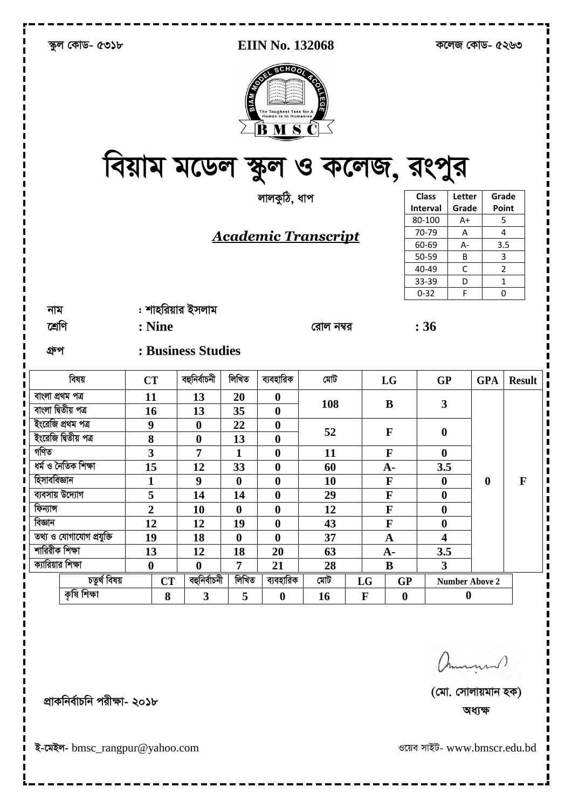|                          | স্কুল কোড- ৫৩১৮ |                  |           |                    |                  | EIIN No. 132068   |                                         | কলেজ কোড- ৫২৬৩ |                  |                         |                       |                  |               |
|--------------------------|-----------------|------------------|-----------|--------------------|------------------|-------------------|-----------------------------------------|----------------|------------------|-------------------------|-----------------------|------------------|---------------|
|                          |                 |                  |           |                    | <b>WAIS</b>      | <b>CONFERENCE</b> | LEGI<br>বিয়াম মডেল স্কুল ও কলেজ, রংপুর |                |                  |                         |                       |                  |               |
|                          |                 |                  |           |                    |                  | লালকুঠি, ধাপ      |                                         |                |                  | <b>Class</b>            | Letter                | Grade            |               |
|                          |                 |                  |           |                    |                  |                   |                                         |                |                  | Interval                | Grade                 | Point            |               |
|                          |                 |                  |           |                    |                  |                   |                                         |                |                  | 80-100                  | $A+$                  |                  | 5             |
|                          |                 |                  |           |                    |                  |                   | <u>Academic Transcript</u>              |                |                  | 70-79                   | Α                     |                  | 4             |
|                          |                 |                  |           |                    |                  |                   |                                         |                |                  | 60-69                   | A-                    | 3.5              |               |
|                          |                 |                  |           |                    |                  |                   |                                         |                |                  | 50-59<br>40-49          | B<br>C                |                  | 3<br>2        |
|                          |                 |                  |           |                    |                  |                   |                                         |                |                  | 33-39                   | D                     |                  | 1             |
|                          |                 |                  |           |                    |                  |                   |                                         |                |                  | $0 - 32$                | F                     |                  | 0             |
|                          |                 |                  |           |                    |                  |                   |                                         |                |                  |                         |                       |                  |               |
| নাম                      |                 |                  |           | : শাহরিয়ার ইসলাম  |                  |                   |                                         |                |                  |                         |                       |                  |               |
| শ্ৰেণি                   |                 |                  | : Nine    |                    |                  |                   | রোল নম্বর                               |                |                  | :36                     |                       |                  |               |
| গ্ৰুপ                    |                 |                  |           | : Business Studies |                  |                   |                                         |                |                  |                         |                       |                  |               |
|                          | বিষয়           | <b>CT</b>        |           | বহুনিৰ্বাচনী       | লিখিত            | ব্যবহারিক         | মেট                                     |                | LG               | <b>GP</b>               |                       | <b>GPA</b>       | <b>Result</b> |
| বাংলা প্ৰথম পত্ৰ         |                 | 11               |           | 13                 | 20               | $\boldsymbol{0}$  |                                         |                |                  |                         |                       |                  |               |
| বাংলা দ্বিতীয় পত্ৰ      |                 | 16               |           | 13                 | 35               | $\boldsymbol{0}$  | 108                                     |                | B                | 3                       |                       |                  |               |
| ইংরেজি প্রথম পত্র        |                 | $\boldsymbol{9}$ |           | $\boldsymbol{0}$   | 22               | $\boldsymbol{0}$  |                                         |                |                  |                         |                       |                  |               |
| ইংরেজি দিতীয় পত্র       |                 | 8                |           | $\boldsymbol{0}$   | 13               | $\boldsymbol{0}$  | 52                                      |                | $\mathbf F$      | $\boldsymbol{0}$        |                       |                  |               |
| গণিত                     |                 | 3                |           | 7                  | 1                | $\boldsymbol{0}$  | 11                                      |                | $\mathbf F$      | $\boldsymbol{0}$        |                       |                  |               |
| ধৰ্ম ও নৈতিক শিক্ষা      |                 | 15               |           | 12                 | 33               | $\boldsymbol{0}$  | 60                                      |                | $A -$            | 3.5                     |                       |                  |               |
| হিসাববিজ্ঞান             |                 | $\mathbf{1}$     |           | 9                  | $\boldsymbol{0}$ | $\bf{0}$          | 10                                      |                | $\mathbf F$      | $\boldsymbol{0}$        |                       | $\boldsymbol{0}$ | $\mathbf{F}$  |
| ব্যবসায় উদ্যোগ          |                 | 5                |           | 14                 | 14               | $\boldsymbol{0}$  | 29                                      |                | $\mathbf{F}$     | $\boldsymbol{0}$        |                       |                  |               |
| ফিন্যান্স                |                 | $\overline{2}$   |           | 10                 | $\boldsymbol{0}$ | $\boldsymbol{0}$  | 12                                      |                | $\mathbf F$      | $\boldsymbol{0}$        |                       |                  |               |
| বিজ্ঞান                  |                 | 12               |           | 12                 | 19               | $\boldsymbol{0}$  | 43                                      |                | $\mathbf F$      | $\boldsymbol{0}$        |                       |                  |               |
| তথ্য ও যোগাযোগ প্রযুক্তি |                 | 19               |           | 18                 | $\boldsymbol{0}$ | $\bf{0}$          | 37                                      |                | $\mathbf A$      | $\overline{\mathbf{4}}$ |                       |                  |               |
| শারিরীক শিক্ষা           |                 | 13               |           | 12                 | 18               | 20                | 63                                      |                | $A -$            | 3.5                     |                       |                  |               |
| ক্যারিয়ার শিক্ষা        |                 | $\boldsymbol{0}$ |           | $\boldsymbol{0}$   | $\overline{7}$   | 21                | 28                                      |                | $\bf{B}$         | $\overline{\mathbf{3}}$ |                       |                  |               |
|                          | চতুৰ্থ বিষয়    |                  | <b>CT</b> | বহুনিৰ্বাচনী       | লিখিত            | ব্যবহারিক         | মোট                                     | LG             | <b>GP</b>        |                         | <b>Number Above 2</b> |                  |               |
|                          | কৃষি শিক্ষা     |                  | 8         | $\mathbf{3}$       | 5                | $\boldsymbol{0}$  | 16                                      | $\mathbf F$    | $\boldsymbol{0}$ | $\boldsymbol{0}$        |                       |                  |               |
|                          |                 |                  |           |                    |                  |                   |                                         |                |                  |                         |                       |                  |               |

ammund)

ওয়েব সাইট- www.bmscr.edu.bd

প্রাকনির্বাচনি পরীক্ষা- ২০১৮

इ-त्मरन- bmsc\_rangpur@yahoo.com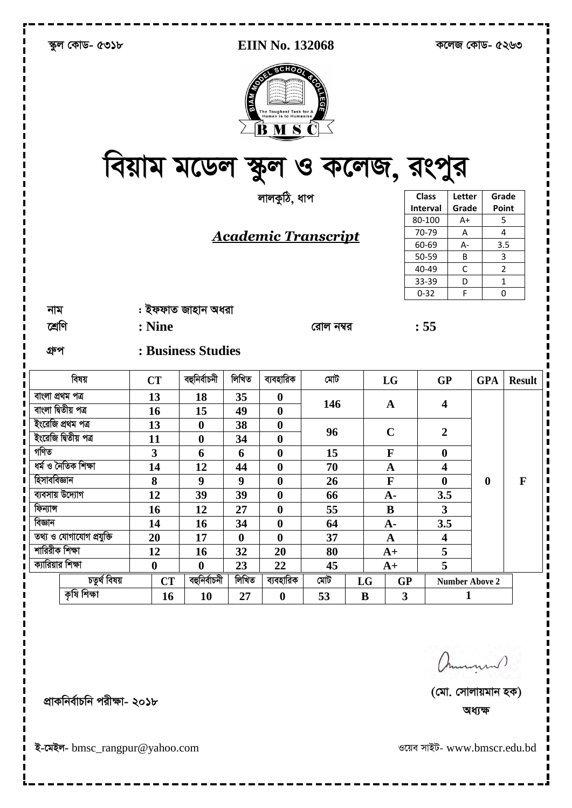| স্কুল কোড- ৫৩১৮          |                                 |                    |                  | <b>EIIN No. 132068</b> |                             | কলেজ কোড- ৫২৬৩ |                         |                         |                       |                  |               |
|--------------------------|---------------------------------|--------------------|------------------|------------------------|-----------------------------|----------------|-------------------------|-------------------------|-----------------------|------------------|---------------|
|                          | বিয়াম মডেল স্কুল ও কলেজ, রংপুর |                    |                  | <b>CONFERENCE</b>      | <b>HEGE</b>                 |                |                         |                         |                       |                  |               |
|                          |                                 |                    |                  | লালকুঠি, ধাপ           |                             |                |                         | <b>Class</b>            | Letter                |                  | Grade         |
|                          |                                 |                    |                  |                        |                             |                |                         | Interval                | Grade                 | Point            |               |
|                          |                                 |                    |                  |                        |                             |                |                         | 80-100                  | $A+$                  |                  | 5             |
|                          |                                 |                    |                  |                        | <u> Academic Transcript</u> |                |                         | 70-79                   | Α                     | 4                |               |
|                          |                                 |                    |                  |                        |                             |                |                         | 60-69<br>50-59          | A-<br>B               | 3.5              | 3             |
|                          |                                 |                    |                  |                        |                             |                |                         | 40-49                   | C                     |                  | 2             |
|                          |                                 |                    |                  |                        |                             |                |                         | 33-39                   | D                     | 1                |               |
|                          |                                 |                    |                  |                        |                             |                |                         | $0 - 32$                | F                     |                  | 0             |
| নাম                      |                                 | : ইফফাত জাহান অধরা |                  |                        |                             |                |                         |                         |                       |                  |               |
| শ্ৰেণি                   | : Nine                          |                    |                  |                        |                             |                |                         |                         |                       |                  |               |
|                          |                                 |                    |                  |                        | রোল নম্বর                   |                |                         | : 55                    |                       |                  |               |
| গ্ৰুপ                    |                                 | : Business Studies |                  |                        |                             |                |                         |                         |                       |                  |               |
| বিষয়                    | <b>CT</b>                       | বহুনিৰ্বাচনী       | লিখিত            | ব্যবহারিক              | মোট                         |                | LG                      | <b>GP</b>               |                       | <b>GPA</b>       | <b>Result</b> |
| বাংলা প্ৰথম পত্ৰ         | 13                              | 18                 | 35               | $\boldsymbol{0}$       |                             |                |                         |                         |                       |                  |               |
| বাংলা দ্বিতীয় পত্ৰ      | 16                              | 15                 | 49               | $\boldsymbol{0}$       | 146                         |                | A                       | 4                       |                       |                  |               |
| ইংরেজি প্রথম পত্র        | 13                              | $\boldsymbol{0}$   | 38               | $\boldsymbol{0}$       |                             |                |                         |                         |                       |                  |               |
| ইংরেজি দ্বিতীয় পত্র     | 11                              | $\boldsymbol{0}$   | 34               | $\boldsymbol{0}$       | 96                          |                | $\mathbf C$             | $\overline{2}$          |                       |                  |               |
| গণিত                     | $\overline{\mathbf{3}}$         | 6                  | 6                | $\boldsymbol{0}$       | 15                          |                | $\mathbf F$             | $\boldsymbol{0}$        |                       |                  |               |
| ধৰ্ম ও নৈতিক শিক্ষা      | 14                              | 12                 | 44               | $\boldsymbol{0}$       | 70                          |                | A                       | $\overline{\mathbf{4}}$ |                       |                  |               |
| হিসাববিজ্ঞান             | 8                               | 9                  | $\boldsymbol{9}$ | $\bf{0}$               | 26                          |                | $\mathbf F$             | $\bf{0}$                |                       | $\boldsymbol{0}$ | $\mathbf F$   |
| ব্যবসায় উদ্যোগ          | 12                              | 39                 | 39               | $\boldsymbol{0}$       | 66                          |                | ${\bf A}$ -             | 3.5                     |                       |                  |               |
| ফিন্যান্স                | 16                              | 12                 | 27               | $\boldsymbol{0}$       | 55                          |                | $\bf{B}$                | $\overline{\mathbf{3}}$ |                       |                  |               |
| বিজ্ঞান                  | 14                              | 16                 | 34               | $\boldsymbol{0}$       | 64                          |                | $A -$                   | 3.5                     |                       |                  |               |
| তথ্য ও যোগাযোগ প্ৰযুক্তি | 20                              | 17                 | $\boldsymbol{0}$ | $\bf{0}$               | 37                          |                | $\mathbf A$             | $\overline{\mathbf{4}}$ |                       |                  |               |
| শারিরীক শিক্ষা           | 12                              | 16                 | 32               | 20                     | 80                          |                | $A+$                    | 5                       |                       |                  |               |
| ক্যারিয়ার শিক্ষা        | $\boldsymbol{0}$                | $\boldsymbol{0}$   | 23               | 22                     | 45                          |                | $A+$                    | 5                       |                       |                  |               |
| চতুৰ্থ বিষয়             | <b>CT</b>                       | বহুনিৰ্বাচনী       | লিখিত            | ব্যবহারিক              | মেট                         | LG             | <b>GP</b>               |                         | <b>Number Above 2</b> |                  |               |
| কৃষি শিক্ষা              | 16                              | 10                 | 27               | $\boldsymbol{0}$       | 53                          | $\bf{B}$       | $\overline{\mathbf{3}}$ |                         | $\mathbf{1}$          |                  |               |
|                          |                                 |                    |                  |                        |                             |                |                         |                         |                       |                  |               |

ammund)

ওয়েব সাইট- www.bmscr.edu.bd

প্ৰাকনিৰ্বাচনি পরীক্ষা- ২০১৮

इ-त्मर्शन- bmsc\_rangpur@yahoo.com